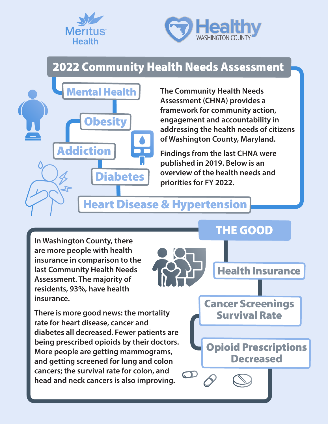



## 2022 Community Health Needs Assessment



**The Community Health Needs Assessment (CHNA) provides a framework for community action, engagement and accountability in addressing the health needs of citizens of Washington County, Maryland.** 

**Findings from the last CHNA were published in 2019. Below is an overview of the health needs and priorities for FY 2022.** 

Health Insurance

THE GOOD

Opioid Prescriptions

Cancer Screenings

Survival Rate

**Decreased** 

## Heart Disease & Hypertension

**In Washington County, there are more people with health insurance in comparison to the last Community Health Needs Assessment. The majority of residents, 93%, have health insurance.** 

**There is more good news: the mortality rate for heart disease, cancer and diabetes all decreased. Fewer patients are being prescribed opioids by their doctors. More people are getting mammograms, and getting screened for lung and colon cancers; the survival rate for colon, and head and neck cancers is also improving.**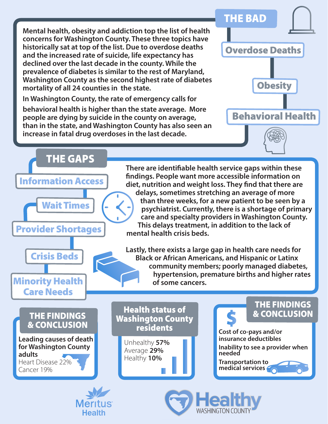**Mental health, obesity and addiction top the list of health concerns for Washington County. These three topics have historically sat at top of the list. Due to overdose deaths and the increased rate of suicide, life expectancy has declined over the last decade in the county. While the prevalence of diabetes is similar to the rest of Maryland, Washington County as the second highest rate of diabetes mortality of all 24 counties in the state.**

**In Washington County, the rate of emergency calls for** 

**Health** 

**behavioral health is higher than the state average. More people are dying by suicide in the county on average, than in the state, and Washington County has also seen an increase in fatal drug overdoses in the last decade.**





**WASHINGTON COLINT**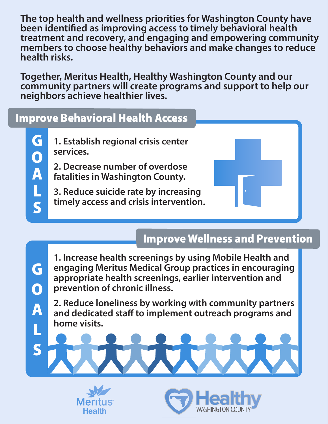**The top health and wellness priorities for Washington County have been identified as improving access to timely behavioral health treatment and recovery, and engaging and empowering community members to choose healthy behaviors and make changes to reduce health risks.** 

**Together, Meritus Health, Healthy Washington County and our community partners will create programs and support to help our neighbors achieve healthier lives.** 

### Improve Behavioral Health Access

G Goalsgoalse (Control Control Control Control Control Control Control Control Control Control Control Control Control Control Control Control Control Control Control Control Control Control Control Control Control Control C  $\mathbf O$ A L S

G

 $\mathbf \Omega$ 

A

S

**1. Establish regional crisis center services.**

**2. Decrease number of overdose fatalities in Washington County.** 

**3. Reduce suicide rate by increasing timely access and crisis intervention.**

#### Improve Wellness and Prevention

**1. Increase health screenings by using Mobile Health and engaging Meritus Medical Group practices in encouraging appropriate health screenings, earlier intervention and prevention of chronic illness.**

**2. Reduce loneliness by working with community partners and dedicated staff to implement outreach programs and home visits.**

Meri **Health**